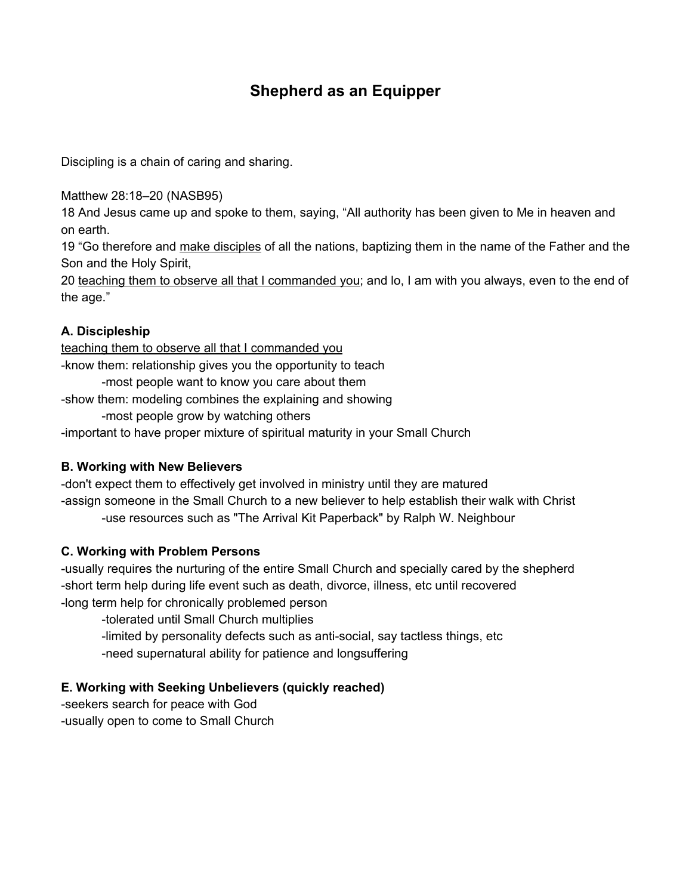# **Shepherd as an Equipper**

Discipling is a chain of caring and sharing.

Matthew 28:18–20 (NASB95)

18 And Jesus came up and spoke to them, saying, "All authority has been given to Me in heaven and on earth.

19 "Go therefore and make disciples of all the nations, baptizing them in the name of the Father and the Son and the Holy Spirit,

20 teaching them to observe all that I commanded you; and lo, I am with you always, even to the end of the age."

## **A. Discipleship**

teaching them to observe all that I commanded you -know them: relationship gives you the opportunity to teach -most people want to know you care about them -show them: modeling combines the explaining and showing -most people grow by watching others

-important to have proper mixture of spiritual maturity in your Small Church

### **B. Working with New Believers**

-don't expect them to effectively get involved in ministry until they are matured -assign someone in the Small Church to a new believer to help establish their walk with Christ -use resources such as "The Arrival Kit Paperback" by Ralph W. Neighbour

### **C. Working with Problem Persons**

-usually requires the nurturing of the entire Small Church and specially cared by the shepherd -short term help during life event such as death, divorce, illness, etc until recovered -long term help for chronically problemed person

-tolerated until Small Church multiplies

-limited by personality defects such as anti-social, say tactless things, etc

-need supernatural ability for patience and longsuffering

### **E. Working with Seeking Unbelievers (quickly reached)**

-seekers search for peace with God -usually open to come to Small Church